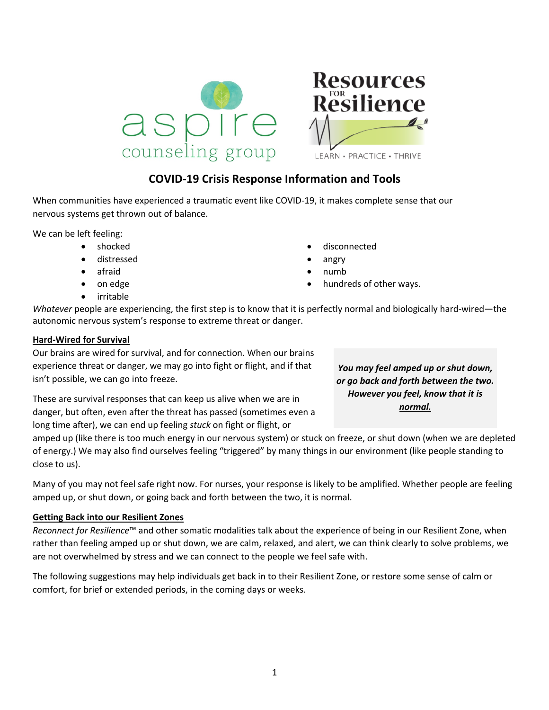

## **COVID-19 Crisis Response Information and Tools**

When communities have experienced a traumatic event like COVID-19, it makes complete sense that our nervous systems get thrown out of balance.

We can be left feeling:

- shocked
- distressed
- afraid
- on edge
- irritable
- disconnected
- angry
- numb
- hundreds of other ways.

*Whatever* people are experiencing, the first step is to know that it is perfectly normal and biologically hard-wired—the autonomic nervous system's response to extreme threat or danger.

#### **Hard-Wired for Survival**

Our brains are wired for survival, and for connection. When our brains experience threat or danger, we may go into fight or flight, and if that isn't possible, we can go into freeze.

These are survival responses that can keep us alive when we are in danger, but often, even after the threat has passed (sometimes even a long time after), we can end up feeling *stuck* on fight or flight, or

*You may feel amped up or shut down, or go back and forth between the two. However you feel, know that it is normal.*

amped up (like there is too much energy in our nervous system) or stuck on freeze, or shut down (when we are depleted of energy.) We may also find ourselves feeling "triggered" by many things in our environment (like people standing to close to us).

Many of you may not feel safe right now. For nurses, your response is likely to be amplified. Whether people are feeling amped up, or shut down, or going back and forth between the two, it is normal.

#### **Getting Back into our Resilient Zones**

*Reconnect for Resilience*™ and other somatic modalities talk about the experience of being in our Resilient Zone, when rather than feeling amped up or shut down, we are calm, relaxed, and alert, we can think clearly to solve problems, we are not overwhelmed by stress and we can connect to the people we feel safe with.

The following suggestions may help individuals get back in to their Resilient Zone, or restore some sense of calm or comfort, for brief or extended periods, in the coming days or weeks.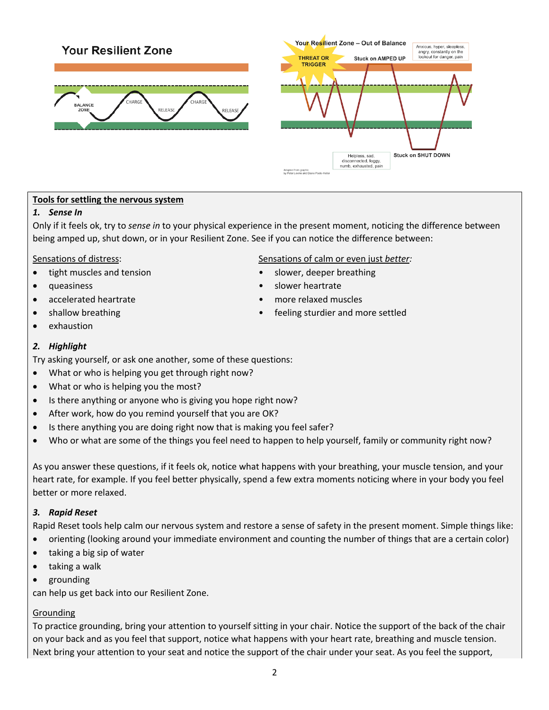# **Your Resilient Zone**





#### **Tools for settling the nervous system**

#### *1. Sense In*

Only if it feels ok, try to *sense in* to your physical experience in the present moment, noticing the difference between being amped up, shut down, or in your Resilient Zone. See if you can notice the difference between:

- tight muscles and tension **•** slower, deeper breathing
- 
- accelerated heartrate more relaxed muscles
- 
- exhaustion

#### *2. Highlight*

Try asking yourself, or ask one another, some of these questions:

- What or who is helping you get through right now?
- What or who is helping you the most?
- Is there anything or anyone who is giving you hope right now?
- After work, how do you remind yourself that you are OK?
- Is there anything you are doing right now that is making you feel safer?
- Who or what are some of the things you feel need to happen to help yourself, family or community right now?

As you answer these questions, if it feels ok, notice what happens with your breathing, your muscle tension, and your heart rate, for example. If you feel better physically, spend a few extra moments noticing where in your body you feel better or more relaxed.

#### *3. Rapid Reset*

Rapid Reset tools help calm our nervous system and restore a sense of safety in the present moment. Simple things like:

- orienting (looking around your immediate environment and counting the number of things that are a certain color)
- taking a big sip of water
- taking a walk
- grounding

can help us get back into our Resilient Zone.

#### Grounding

To practice grounding, bring your attention to yourself sitting in your chair. Notice the support of the back of the chair on your back and as you feel that support, notice what happens with your heart rate, breathing and muscle tension. Next bring your attention to your seat and notice the support of the chair under your seat. As you feel the support,

#### Sensations of distress: Sensations of calm or even just *better:*

- 
- queasiness **•** slower heartrate
	-
- shallow breathing feeling sturdier and more settled